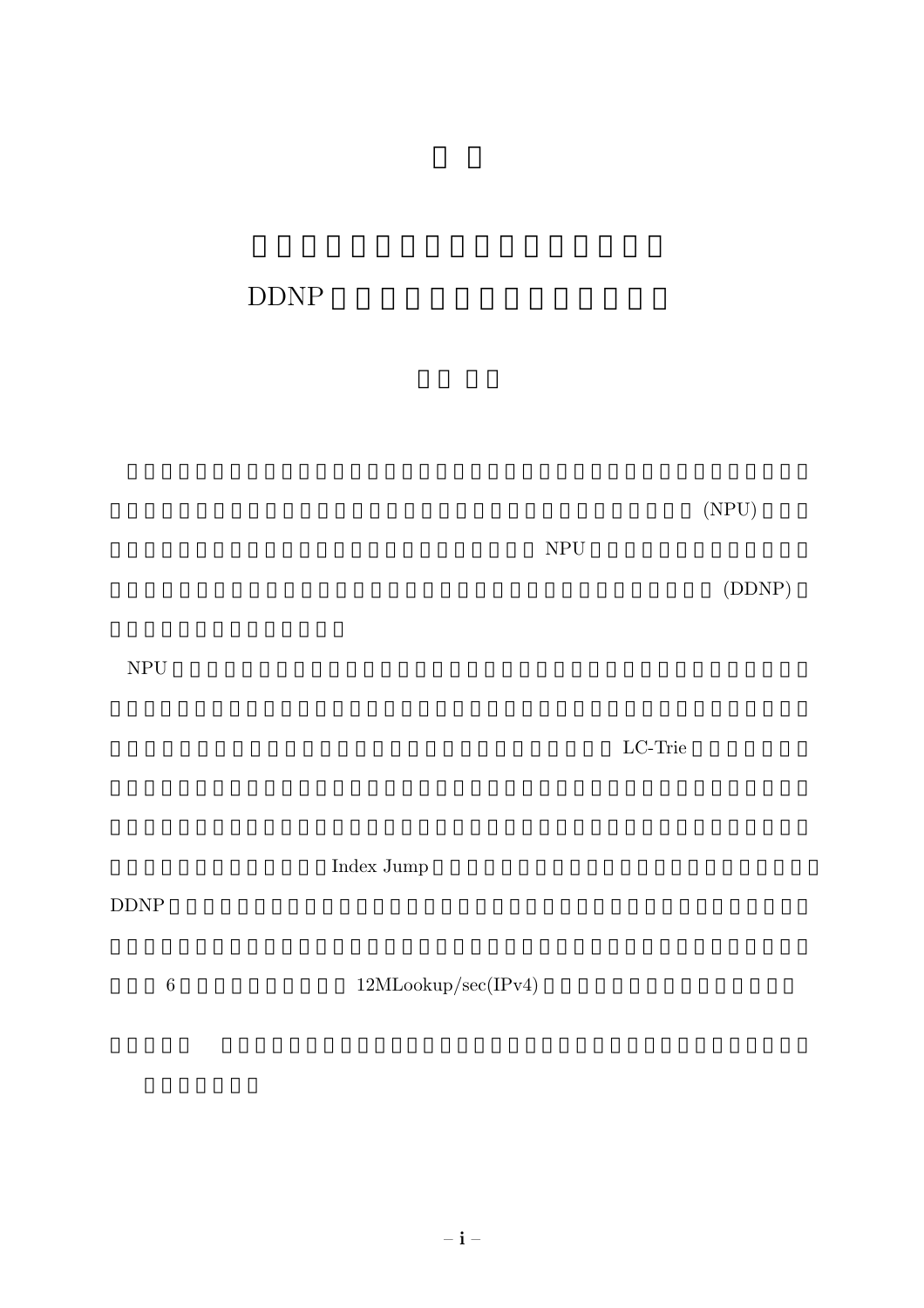# DDNP

 $(NPU)$ 

 $NPU$ 

(DDNP)

NPU <sub>and the</sub> set of the set of the set of the set of the set of the set of the set of the set of the set of the set of the set of the set of the set of the set of the set of the set of the set of the set of the set of the

 $LC-Trie$ 

 ${\rm Index\ Jump}$ 

### DDNP

 $12 \text{MLoop/sec}(\text{IPv4})$